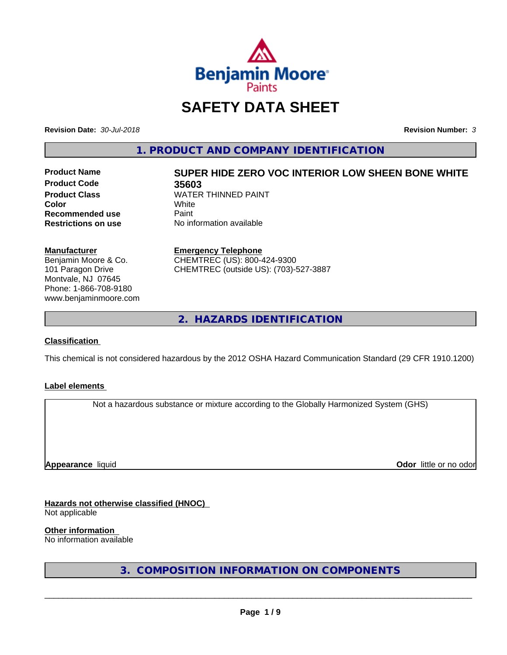

# **SAFETY DATA SHEET**

**Revision Date:** *30-Jul-2018* **Revision Number:** *3*

**1. PRODUCT AND COMPANY IDENTIFICATION**

**Product Code 35603 Recommended use** Paint<br> **Restrictions on use** No inf

# **Product Name SUPER HIDE ZERO VOC INTERIOR LOW SHEEN BONE WHITE Product Class** WATER THINNED PAINT<br> **Color** White

**Color** White White **No information available** 

#### **Manufacturer**

Benjamin Moore & Co. 101 Paragon Drive Montvale, NJ 07645 Phone: 1-866-708-9180 www.benjaminmoore.com

#### **Emergency Telephone**

CHEMTREC (US): 800-424-9300 CHEMTREC (outside US): (703)-527-3887

**2. HAZARDS IDENTIFICATION**

#### **Classification**

This chemical is not considered hazardous by the 2012 OSHA Hazard Communication Standard (29 CFR 1910.1200)

#### **Label elements**

Not a hazardous substance or mixture according to the Globally Harmonized System (GHS)

**Appearance** liquid

**Odor** little or no odor

# **Hazards not otherwise classified (HNOC)**

Not applicable

**Other information**

No information available

**3. COMPOSITION INFORMATION ON COMPONENTS**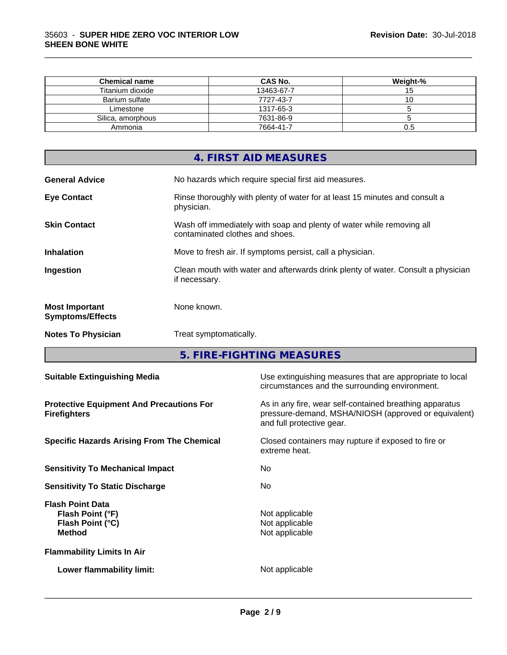| <b>Chemical name</b> | <b>CAS No.</b> | Weight-% |
|----------------------|----------------|----------|
| Titanium dioxide     | 13463-67-7     | ◡        |
| Barium sulfate       | 7727-43-7      | ◡        |
| Limestone            | 1317-65-3      |          |
| Silica, amorphous    | 7631-86-9      |          |
| Ammonia              | 7664-41-7      | U.5      |

\_\_\_\_\_\_\_\_\_\_\_\_\_\_\_\_\_\_\_\_\_\_\_\_\_\_\_\_\_\_\_\_\_\_\_\_\_\_\_\_\_\_\_\_\_\_\_\_\_\_\_\_\_\_\_\_\_\_\_\_\_\_\_\_\_\_\_\_\_\_\_\_\_\_\_\_\_\_\_\_\_\_\_\_\_\_\_\_\_\_\_\_\_

|                                                  | 4. FIRST AID MEASURES                                                                                    |
|--------------------------------------------------|----------------------------------------------------------------------------------------------------------|
| <b>General Advice</b>                            | No hazards which require special first aid measures.                                                     |
| <b>Eye Contact</b>                               | Rinse thoroughly with plenty of water for at least 15 minutes and consult a<br>physician.                |
| <b>Skin Contact</b>                              | Wash off immediately with soap and plenty of water while removing all<br>contaminated clothes and shoes. |
| <b>Inhalation</b>                                | Move to fresh air. If symptoms persist, call a physician.                                                |
| Ingestion                                        | Clean mouth with water and afterwards drink plenty of water. Consult a physician<br>if necessary.        |
| <b>Most Important</b><br><b>Symptoms/Effects</b> | None known.                                                                                              |
| <b>Notes To Physician</b>                        | Treat symptomatically.                                                                                   |

**5. FIRE-FIGHTING MEASURES**

| <b>Suitable Extinguishing Media</b>                                              | Use extinguishing measures that are appropriate to local<br>circumstances and the surrounding environment.                                   |
|----------------------------------------------------------------------------------|----------------------------------------------------------------------------------------------------------------------------------------------|
| <b>Protective Equipment And Precautions For</b><br><b>Firefighters</b>           | As in any fire, wear self-contained breathing apparatus<br>pressure-demand, MSHA/NIOSH (approved or equivalent)<br>and full protective gear. |
| <b>Specific Hazards Arising From The Chemical</b>                                | Closed containers may rupture if exposed to fire or<br>extreme heat.                                                                         |
| <b>Sensitivity To Mechanical Impact</b>                                          | No.                                                                                                                                          |
| <b>Sensitivity To Static Discharge</b>                                           | No.                                                                                                                                          |
| <b>Flash Point Data</b><br>Flash Point (°F)<br>Flash Point (°C)<br><b>Method</b> | Not applicable<br>Not applicable<br>Not applicable                                                                                           |
| <b>Flammability Limits In Air</b>                                                |                                                                                                                                              |
| Lower flammability limit:                                                        | Not applicable                                                                                                                               |
|                                                                                  |                                                                                                                                              |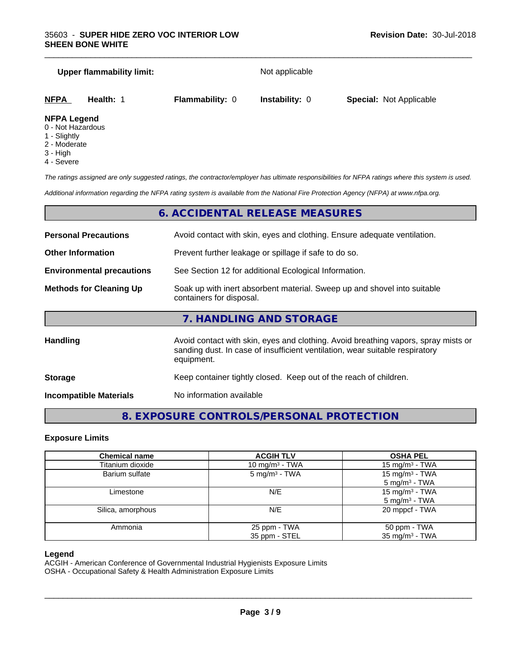#### **Upper flammability limit:** Not applicable

\_\_\_\_\_\_\_\_\_\_\_\_\_\_\_\_\_\_\_\_\_\_\_\_\_\_\_\_\_\_\_\_\_\_\_\_\_\_\_\_\_\_\_\_\_\_\_\_\_\_\_\_\_\_\_\_\_\_\_\_\_\_\_\_\_\_\_\_\_\_\_\_\_\_\_\_\_\_\_\_\_\_\_\_\_\_\_\_\_\_\_\_\_

| <u>NFPA</u> | Health: | <b>Flammability: 0</b> | <b>Instability: 0</b> | <b>Special: Not Applicable</b> |  |
|-------------|---------|------------------------|-----------------------|--------------------------------|--|
| .           |         |                        |                       |                                |  |

#### **NFPA Legend**

- 0 Not Hazardous
- 1 Slightly
- 2 Moderate
- 3 High
- 4 Severe

*The ratings assigned are only suggested ratings, the contractor/employer has ultimate responsibilities for NFPA ratings where this system is used.*

*Additional information regarding the NFPA rating system is available from the National Fire Protection Agency (NFPA) at www.nfpa.org.*

# **6. ACCIDENTAL RELEASE MEASURES**

| <b>Personal Precautions</b>      | Avoid contact with skin, eyes and clothing. Ensure adequate ventilation.                                                                                                         |
|----------------------------------|----------------------------------------------------------------------------------------------------------------------------------------------------------------------------------|
| <b>Other Information</b>         | Prevent further leakage or spillage if safe to do so.                                                                                                                            |
| <b>Environmental precautions</b> | See Section 12 for additional Ecological Information.                                                                                                                            |
| <b>Methods for Cleaning Up</b>   | Soak up with inert absorbent material. Sweep up and shovel into suitable<br>containers for disposal.                                                                             |
|                                  | 7. HANDLING AND STORAGE                                                                                                                                                          |
| <b>Handling</b>                  | Avoid contact with skin, eyes and clothing. Avoid breathing vapors, spray mists or<br>sanding dust. In case of insufficient ventilation, wear suitable respiratory<br>equipment. |
| <b>Storage</b>                   | Keep container tightly closed. Keep out of the reach of children.                                                                                                                |
|                                  |                                                                                                                                                                                  |

**Incompatible Materials** No information available

# **8. EXPOSURE CONTROLS/PERSONAL PROTECTION**

#### **Exposure Limits**

| <b>Chemical name</b> | <b>ACGIH TLV</b>              | <b>OSHA PEL</b>                                |
|----------------------|-------------------------------|------------------------------------------------|
| Titanium dioxide     | 10 mg/m <sup>3</sup> - TWA    | 15 mg/m <sup>3</sup> - TWA                     |
| Barium sulfate       | $5 \text{ mg/m}^3$ - TWA      | 15 mg/m $3$ - TWA<br>$5 \text{ mg/m}^3$ - TWA  |
| Limestone            | N/E                           | 15 mg/m $3$ - TWA<br>5 mg/m <sup>3</sup> - TWA |
| Silica, amorphous    | N/E                           | 20 mppcf - TWA                                 |
| Ammonia              | 25 ppm - TWA<br>35 ppm - STEL | 50 ppm - TWA<br>$35 \text{ mg/m}^3$ - TWA      |

#### **Legend**

ACGIH - American Conference of Governmental Industrial Hygienists Exposure Limits

OSHA - Occupational Safety & Health Administration Exposure Limits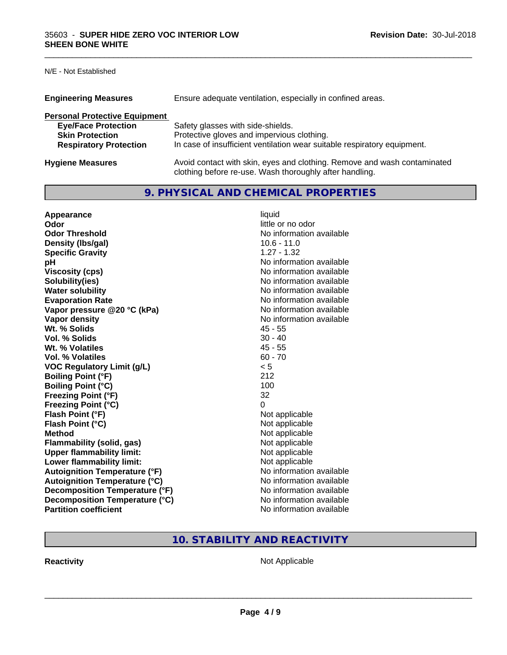N/E - Not Established

| <b>Engineering Measures</b>          | Ensure adequate ventilation, especially in confined areas.                                                                          |
|--------------------------------------|-------------------------------------------------------------------------------------------------------------------------------------|
| <b>Personal Protective Equipment</b> |                                                                                                                                     |
| <b>Eye/Face Protection</b>           | Safety glasses with side-shields.                                                                                                   |
| <b>Skin Protection</b>               | Protective gloves and impervious clothing.                                                                                          |
| <b>Respiratory Protection</b>        | In case of insufficient ventilation wear suitable respiratory equipment.                                                            |
| <b>Hygiene Measures</b>              | Avoid contact with skin, eyes and clothing. Remove and wash contaminated<br>clothing before re-use. Wash thoroughly after handling. |

\_\_\_\_\_\_\_\_\_\_\_\_\_\_\_\_\_\_\_\_\_\_\_\_\_\_\_\_\_\_\_\_\_\_\_\_\_\_\_\_\_\_\_\_\_\_\_\_\_\_\_\_\_\_\_\_\_\_\_\_\_\_\_\_\_\_\_\_\_\_\_\_\_\_\_\_\_\_\_\_\_\_\_\_\_\_\_\_\_\_\_\_\_

# **9. PHYSICAL AND CHEMICAL PROPERTIES**

| Appearance                           | liquid                   |
|--------------------------------------|--------------------------|
| Odor                                 | little or no odor        |
| <b>Odor Threshold</b>                | No information available |
| Density (Ibs/gal)                    | $10.6 - 11.0$            |
| <b>Specific Gravity</b>              | $1.27 - 1.32$            |
| рH                                   | No information available |
| <b>Viscosity (cps)</b>               | No information available |
| Solubility(ies)                      | No information available |
| <b>Water solubility</b>              | No information available |
| <b>Evaporation Rate</b>              | No information available |
| Vapor pressure @20 °C (kPa)          | No information available |
| Vapor density                        | No information available |
| Wt. % Solids                         | $45 - 55$                |
| Vol. % Solids                        | $30 - 40$                |
| Wt. % Volatiles                      | $45 - 55$                |
| <b>Vol. % Volatiles</b>              | $60 - 70$                |
| <b>VOC Regulatory Limit (g/L)</b>    | < 5                      |
| <b>Boiling Point (°F)</b>            | 212                      |
| <b>Boiling Point (°C)</b>            | 100                      |
| <b>Freezing Point (°F)</b>           | 32                       |
| <b>Freezing Point (°C)</b>           | 0                        |
| Flash Point (°F)                     | Not applicable           |
| Flash Point (°C)                     | Not applicable           |
| <b>Method</b>                        | Not applicable           |
| <b>Flammability (solid, gas)</b>     | Not applicable           |
| <b>Upper flammability limit:</b>     | Not applicable           |
| Lower flammability limit:            | Not applicable           |
| <b>Autoignition Temperature (°F)</b> | No information available |
| <b>Autoignition Temperature (°C)</b> | No information available |
| Decomposition Temperature (°F)       | No information available |
| Decomposition Temperature (°C)       | No information available |
| <b>Partition coefficient</b>         | No information available |

**10. STABILITY AND REACTIVITY**

**Reactivity Not Applicable** Not Applicable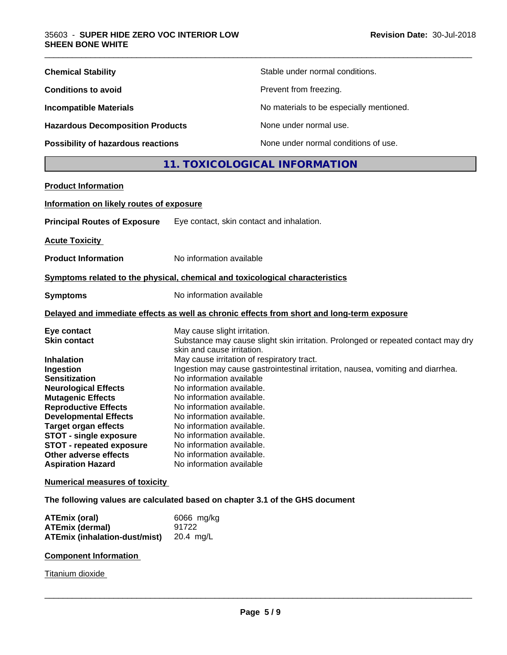| <b>Chemical Stability</b>               | Stable under normal conditions.          |
|-----------------------------------------|------------------------------------------|
| <b>Conditions to avoid</b>              | Prevent from freezing.                   |
| <b>Incompatible Materials</b>           | No materials to be especially mentioned. |
| <b>Hazardous Decomposition Products</b> | None under normal use.                   |
| Possibility of hazardous reactions      | None under normal conditions of use.     |

# **11. TOXICOLOGICAL INFORMATION**

\_\_\_\_\_\_\_\_\_\_\_\_\_\_\_\_\_\_\_\_\_\_\_\_\_\_\_\_\_\_\_\_\_\_\_\_\_\_\_\_\_\_\_\_\_\_\_\_\_\_\_\_\_\_\_\_\_\_\_\_\_\_\_\_\_\_\_\_\_\_\_\_\_\_\_\_\_\_\_\_\_\_\_\_\_\_\_\_\_\_\_\_\_

| <b>Product Information</b>               |                                                                                                                 |
|------------------------------------------|-----------------------------------------------------------------------------------------------------------------|
| Information on likely routes of exposure |                                                                                                                 |
| <b>Principal Routes of Exposure</b>      | Eye contact, skin contact and inhalation.                                                                       |
| <b>Acute Toxicity</b>                    |                                                                                                                 |
| <b>Product Information</b>               | No information available                                                                                        |
|                                          | Symptoms related to the physical, chemical and toxicological characteristics                                    |
| <b>Symptoms</b>                          | No information available                                                                                        |
|                                          | Delayed and immediate effects as well as chronic effects from short and long-term exposure                      |
| Eye contact                              | May cause slight irritation.                                                                                    |
| <b>Skin contact</b>                      | Substance may cause slight skin irritation. Prolonged or repeated contact may dry<br>skin and cause irritation. |
| <b>Inhalation</b>                        | May cause irritation of respiratory tract.                                                                      |
| Ingestion                                | Ingestion may cause gastrointestinal irritation, nausea, vomiting and diarrhea.                                 |
| <b>Sensitization</b>                     | No information available                                                                                        |
| <b>Neurological Effects</b>              | No information available.                                                                                       |
| <b>Mutagenic Effects</b>                 | No information available.                                                                                       |
| <b>Reproductive Effects</b>              | No information available.                                                                                       |
| <b>Developmental Effects</b>             | No information available.                                                                                       |
| <b>Target organ effects</b>              | No information available.                                                                                       |
| <b>STOT - single exposure</b>            | No information available.                                                                                       |
| <b>STOT - repeated exposure</b>          | No information available.                                                                                       |
| Other adverse effects                    | No information available.                                                                                       |
| <b>Aspiration Hazard</b>                 | No information available                                                                                        |
| <b>Numerical measures of toxicity</b>    |                                                                                                                 |

#### **The following values are calculated based on chapter 3.1 of the GHS document**

| ATEmix (oral)                                  | 6066 mg/kg |
|------------------------------------------------|------------|
| ATEmix (dermal)                                | 91722      |
| <b>ATEmix (inhalation-dust/mist)</b> 20.4 mg/L |            |

#### **Component Information**

Titanium dioxide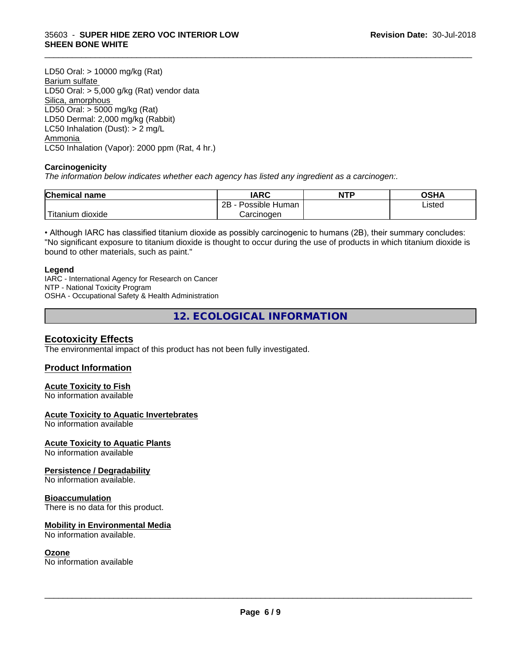LD50 Oral: > 10000 mg/kg (Rat) Barium sulfate LD50 Oral: > 5,000 g/kg (Rat) vendor data Silica, amorphous LD50 Oral: > 5000 mg/kg (Rat) LD50 Dermal: 2,000 mg/kg (Rabbit) LC50 Inhalation (Dust): > 2 mg/L Ammonia LC50 Inhalation (Vapor): 2000 ppm (Rat, 4 hr.)

#### **Carcinogenicity**

*The information below indicateswhether each agency has listed any ingredient as a carcinogen:.*

| Chemical<br>∣ name                                                                                                                              | <b>IARC</b>                  | <b>NTP</b> | OSHA   |
|-------------------------------------------------------------------------------------------------------------------------------------------------|------------------------------|------------|--------|
|                                                                                                                                                 | .<br>2B<br>Possible<br>Human |            | Listed |
| <b>The Contract of the Contract of the Contract of the Contract of the Contract of the Contract of the Contract o</b><br>m dioxide<br>l itanıum | Carcinoɑen                   |            |        |

\_\_\_\_\_\_\_\_\_\_\_\_\_\_\_\_\_\_\_\_\_\_\_\_\_\_\_\_\_\_\_\_\_\_\_\_\_\_\_\_\_\_\_\_\_\_\_\_\_\_\_\_\_\_\_\_\_\_\_\_\_\_\_\_\_\_\_\_\_\_\_\_\_\_\_\_\_\_\_\_\_\_\_\_\_\_\_\_\_\_\_\_\_

• Although IARC has classified titanium dioxide as possibly carcinogenic to humans (2B), their summary concludes: "No significant exposure to titanium dioxide is thought to occur during the use of products in which titanium dioxide is bound to other materials, such as paint."

#### **Legend**

IARC - International Agency for Research on Cancer NTP - National Toxicity Program OSHA - Occupational Safety & Health Administration

**12. ECOLOGICAL INFORMATION**

#### **Ecotoxicity Effects**

The environmental impact of this product has not been fully investigated.

#### **Product Information**

#### **Acute Toxicity to Fish**

No information available

#### **Acute Toxicity to Aquatic Invertebrates**

No information available

#### **Acute Toxicity to Aquatic Plants**

No information available

#### **Persistence / Degradability**

No information available.

#### **Bioaccumulation**

There is no data for this product.

#### **Mobility in Environmental Media**

No information available.

#### **Ozone**

No information available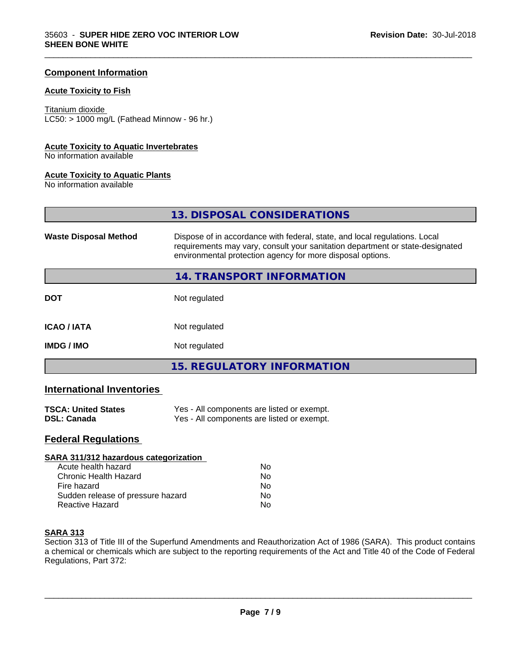#### **Component Information**

### **Acute Toxicity to Fish**

#### Titanium dioxide

 $LC50:$  > 1000 mg/L (Fathead Minnow - 96 hr.)

#### **Acute Toxicity to Aquatic Invertebrates**

No information available

#### **Acute Toxicity to Aquatic Plants**

No information available

**13. DISPOSAL CONSIDERATIONS**

\_\_\_\_\_\_\_\_\_\_\_\_\_\_\_\_\_\_\_\_\_\_\_\_\_\_\_\_\_\_\_\_\_\_\_\_\_\_\_\_\_\_\_\_\_\_\_\_\_\_\_\_\_\_\_\_\_\_\_\_\_\_\_\_\_\_\_\_\_\_\_\_\_\_\_\_\_\_\_\_\_\_\_\_\_\_\_\_\_\_\_\_\_

| <b>Waste Disposal Method</b> | Dispose of in accordance with federal, state, and local regulations. Local<br>requirements may vary, consult your sanitation department or state-designated<br>environmental protection agency for more disposal options. |
|------------------------------|---------------------------------------------------------------------------------------------------------------------------------------------------------------------------------------------------------------------------|
|                              | 14. TRANSPORT INFORMATION                                                                                                                                                                                                 |
| <b>DOT</b>                   | Not regulated                                                                                                                                                                                                             |
| <b>ICAO/IATA</b>             | Not regulated                                                                                                                                                                                                             |
| <b>IMDG / IMO</b>            | Not regulated                                                                                                                                                                                                             |
|                              | <b>15. REGULATORY INFORMATION</b>                                                                                                                                                                                         |

### **International Inventories**

| <b>TSCA: United States</b> | Yes - All components are listed or exempt. |
|----------------------------|--------------------------------------------|
| <b>DSL: Canada</b>         | Yes - All components are listed or exempt. |

# **Federal Regulations**

| SARA 311/312 hazardous categorization |    |  |
|---------------------------------------|----|--|
| Acute health hazard                   | Nο |  |
| Chronic Health Hazard                 | Nο |  |
| Fire hazard                           | No |  |
| Sudden release of pressure hazard     | No |  |
| Reactive Hazard                       | No |  |

#### **SARA 313**

Section 313 of Title III of the Superfund Amendments and Reauthorization Act of 1986 (SARA). This product contains a chemical or chemicals which are subject to the reporting requirements of the Act and Title 40 of the Code of Federal Regulations, Part 372: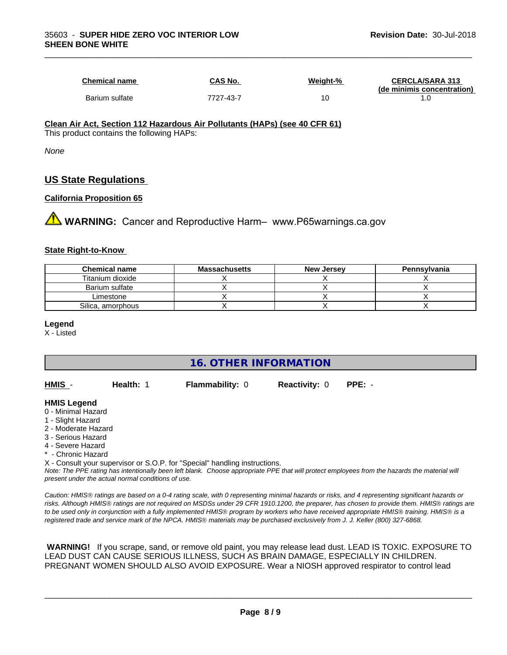| <b>Chemical name</b> | CAS No.   | Weight-% | <b>CERCLA/SARA 313</b><br>(de minimis concentration) |
|----------------------|-----------|----------|------------------------------------------------------|
| Barium sulfate       | 7727-43-7 | 10       |                                                      |

\_\_\_\_\_\_\_\_\_\_\_\_\_\_\_\_\_\_\_\_\_\_\_\_\_\_\_\_\_\_\_\_\_\_\_\_\_\_\_\_\_\_\_\_\_\_\_\_\_\_\_\_\_\_\_\_\_\_\_\_\_\_\_\_\_\_\_\_\_\_\_\_\_\_\_\_\_\_\_\_\_\_\_\_\_\_\_\_\_\_\_\_\_

#### **Clean Air Act,Section 112 Hazardous Air Pollutants (HAPs) (see 40 CFR 61)** This product contains the following HAPs:

*None*

# **US State Regulations**

#### **California Proposition 65**

**AVIMARNING:** Cancer and Reproductive Harm– www.P65warnings.ca.gov

#### **State Right-to-Know**

| <b>Chemical name</b> | <b>Massachusetts</b> | <b>New Jersey</b> | Pennsylvania |
|----------------------|----------------------|-------------------|--------------|
| Titanium dioxide     |                      |                   |              |
| Barium sulfate       |                      |                   |              |
| Limestone            |                      |                   |              |
| Silica, amorphous    |                      |                   |              |

#### **Legend**

X - Listed

# **16. OTHER INFORMATION**

| HMIS -                                                                                                    | Health: 1 | <b>Flammability: 0</b> | <b>Reactivity: 0</b> | $PPE: -$ |
|-----------------------------------------------------------------------------------------------------------|-----------|------------------------|----------------------|----------|
| <b>HMIS Legend</b><br>0 - Minimal Hazard<br>1 - Slight Hazard<br>$\bigcap$ M <sub>s</sub> denote the seal |           |                        |                      |          |

- 2 Moderate Hazard
- 3 Serious Hazard
- 4 Severe Hazard
- **Chronic Hazard**

X - Consult your supervisor or S.O.P. for "Special" handling instructions.

*Note: The PPE rating has intentionally been left blank. Choose appropriate PPE that will protect employees from the hazards the material will present under the actual normal conditions of use.*

*Caution: HMISÒ ratings are based on a 0-4 rating scale, with 0 representing minimal hazards or risks, and 4 representing significant hazards or risks. Although HMISÒ ratings are not required on MSDSs under 29 CFR 1910.1200, the preparer, has chosen to provide them. HMISÒ ratings are to be used only in conjunction with a fully implemented HMISÒ program by workers who have received appropriate HMISÒ training. HMISÒ is a registered trade and service mark of the NPCA. HMISÒ materials may be purchased exclusively from J. J. Keller (800) 327-6868.*

 **WARNING!** If you scrape, sand, or remove old paint, you may release lead dust. LEAD IS TOXIC. EXPOSURE TO LEAD DUST CAN CAUSE SERIOUS ILLNESS, SUCH AS BRAIN DAMAGE, ESPECIALLY IN CHILDREN. PREGNANT WOMEN SHOULD ALSO AVOID EXPOSURE.Wear a NIOSH approved respirator to control lead